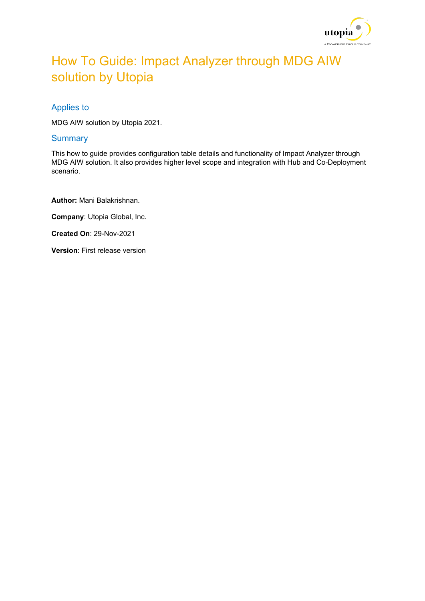

# How To Guide: Impact Analyzer through MDG AIW solution by Utopia

### Applies to

MDG AIW solution by Utopia 2021.

#### **Summary**

This how to guide provides configuration table details and functionality of Impact Analyzer through MDG AIW solution. It also provides higher level scope and integration with Hub and Co-Deployment scenario.

**Author:** Mani Balakrishnan.

**Company**: Utopia Global, Inc.

**Created On**: 29-Nov-2021

**Version**: First release version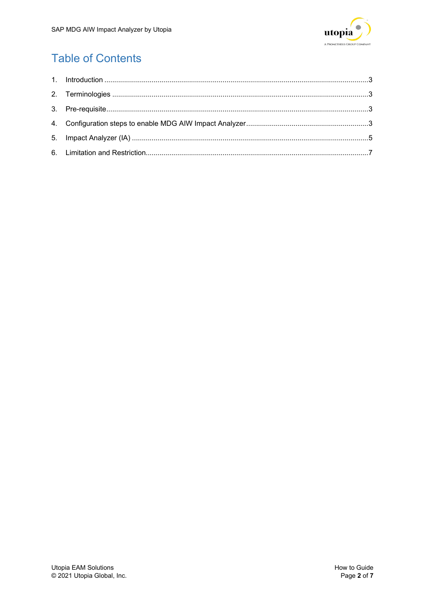

## **Table of Contents**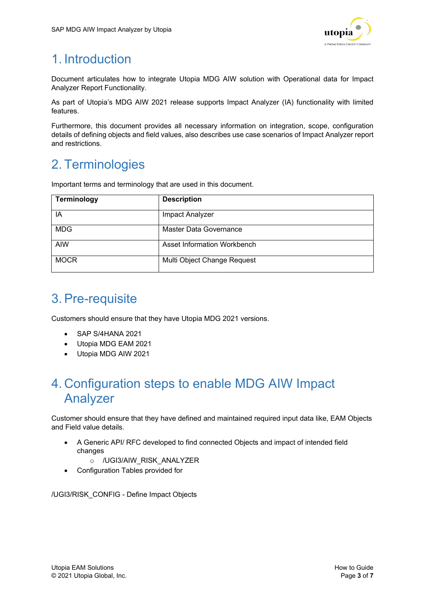

# <span id="page-2-0"></span>1. Introduction

Document articulates how to integrate Utopia MDG AIW solution with Operational data for Impact Analyzer Report Functionality.

As part of Utopia's MDG AIW 2021 release supports Impact Analyzer (IA) functionality with limited features.

Furthermore, this document provides all necessary information on integration, scope, configuration details of defining objects and field values, also describes use case scenarios of Impact Analyzer report and restrictions.

## <span id="page-2-1"></span>2. Terminologies

Important terms and terminology that are used in this document.

| <b>Terminology</b> | <b>Description</b>          |
|--------------------|-----------------------------|
| ΙA                 | Impact Analyzer             |
| <b>MDG</b>         | Master Data Governance      |
| <b>AIW</b>         | Asset Information Workbench |
| <b>MOCR</b>        | Multi Object Change Request |

### <span id="page-2-2"></span>3.Pre-requisite

Customers should ensure that they have Utopia MDG 2021 versions.

- SAP S/4HANA 2021
- Utopia MDG EAM 2021
- Utopia MDG AIW 2021

### <span id="page-2-3"></span>4. Configuration steps to enable MDG AIW Impact Analyzer

Customer should ensure that they have defined and maintained required input data like, EAM Objects and Field value details.

- A Generic API/ RFC developed to find connected Objects and impact of intended field changes
	- o /UGI3/AIW\_RISK\_ANALYZER
- Configuration Tables provided for

/UGI3/RISK\_CONFIG - Define Impact Objects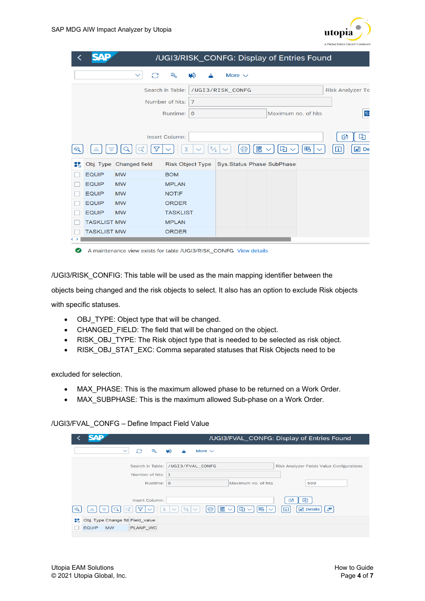

|                        | SAD                |                          |                          | /UGI3/RISK_CONFG: Display of Entries Found |                         |
|------------------------|--------------------|--------------------------|--------------------------|--------------------------------------------|-------------------------|
|                        |                    | $\Omega$<br>$\checkmark$ | $\mathcal{L}$<br>Hå<br>▵ | More $\vee$                                |                         |
|                        |                    |                          | Search in Table:         | /UGI3/RISK CONFG                           | <b>Risk Analyzer To</b> |
|                        |                    |                          | Number of hits:<br>7     |                                            |                         |
|                        |                    |                          | Runtime:<br>$\Theta$     | Maximum no, of hits                        | 5 <sub>0</sub>          |
|                        |                    |                          |                          |                                            |                         |
|                        |                    |                          | <b>Insert Column:</b>    |                                            | [5]<br>图                |
| $\bm{\mathsf{\Omega}}$ | ⋷                  |                          | $\frac{\Sigma}{2}$<br>Σ  | 圜<br>国∨<br>眠<br>骨<br>$\checkmark$          | $\mathbb{R}$ De<br>li.  |
| 85                     |                    | Obj. Type Changed field  | <b>Risk Object Type</b>  | Sys.Status Phase SubPhase                  |                         |
|                        | <b>EQUIP</b>       | <b>MW</b>                | <b>BOM</b>               |                                            |                         |
|                        | <b>EQUIP</b>       | <b>MW</b>                | <b>MPLAN</b>             |                                            |                         |
|                        | <b>EQUIP</b>       | <b>MW</b>                | <b>NOTIF</b>             |                                            |                         |
|                        | <b>EQUIP</b>       | <b>MW</b>                | <b>ORDER</b>             |                                            |                         |
|                        | <b>EQUIP</b>       | <b>MW</b>                | <b>TASKLIST</b>          |                                            |                         |
|                        | <b>TASKLIST MW</b> |                          | <b>MPLAN</b>             |                                            |                         |
|                        | <b>TASKLIST MW</b> |                          | <b>ORDER</b>             |                                            |                         |
| $\leftrightarrow$      |                    |                          |                          |                                            |                         |

A maintenance view exists for table /UGI3/RISK\_CONFG View details

/UGI3/RISK\_CONFIG: This table will be used as the main mapping identifier between the

objects being changed and the risk objects to select. It also has an option to exclude Risk objects

with specific statuses.

- OBJ TYPE: Object type that will be changed.
- CHANGED FIELD: The field that will be changed on the object.
- RISK OBJ TYPE: The Risk object type that is needed to be selected as risk object.
- RISK\_OBJ\_STAT\_EXC: Comma separated statuses that Risk Objects need to be

excluded for selection.

- MAX\_PHASE: This is the maximum allowed phase to be returned on a Work Order.
- MAX\_SUBPHASE: This is the maximum allowed Sub-phase on a Work Order.

| /UGI3/FVAL_CONFG - Define Impact Field Value |  |
|----------------------------------------------|--|
|                                              |  |

| СЛD                                                              | /UGI3/FVAL_CONFG: Display of Entries Found                                                                                       |
|------------------------------------------------------------------|----------------------------------------------------------------------------------------------------------------------------------|
| $\mathbb{C}^*$<br>ঽ<br>$\checkmark$                              | Щĝ.<br>More $\sim$<br>▲                                                                                                          |
| Number of hits: 1<br>Runtime: 0                                  | Search in Table: /UGI3/FVAL_CONFG<br><b>Risk Analyzer Fields Value Confgurations</b><br>Maximum no. of hits<br>500               |
| <b>Insert Column:</b><br>$\equiv$<br>₹<br>$\bm{\mathsf{\Omega}}$ | 囨<br>吟<br>骨<br>圜<br>眠<br>्⊕<br>$\frac{1}{2}$<br>西<br>$\lceil i \rceil$<br>$\triangleright$ Details<br>$\sim$<br>$\sim$<br>$\sim$ |
| Obj. Type Change fld Field value<br>85                           |                                                                                                                                  |
| PLANP_WC<br><b>EQUIP</b><br><b>MW</b>                            |                                                                                                                                  |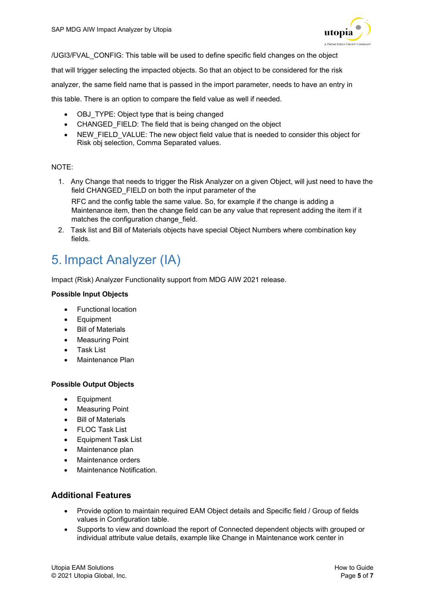

/UGI3/FVAL\_CONFIG: This table will be used to define specific field changes on the object

that will trigger selecting the impacted objects. So that an object to be considered for the risk

analyzer, the same field name that is passed in the import parameter, needs to have an entry in

this table. There is an option to compare the field value as well if needed.

- OBJ\_TYPE: Object type that is being changed
- CHANGED FIELD: The field that is being changed on the object
- NEW\_FIELD\_VALUE: The new object field value that is needed to consider this object for Risk obj selection, Comma Separated values.

#### NOTE:

- 1. Any Change that needs to trigger the Risk Analyzer on a given Object, will just need to have the field CHANGED\_FIELD on both the input parameter of the RFC and the config table the same value. So, for example if the change is adding a Maintenance item, then the change field can be any value that represent adding the item if it matches the configuration change field.
- 2. Task list and Bill of Materials objects have special Object Numbers where combination key fields.

# <span id="page-4-0"></span>5. Impact Analyzer (IA)

Impact (Risk) Analyzer Functionality support from MDG AIW 2021 release.

#### **Possible Input Objects**

- Functional location
- **Equipment**
- Bill of Materials
- **Measuring Point**
- Task List
- Maintenance Plan

#### **Possible Output Objects**

- Equipment
- **Measuring Point**
- Bill of Materials
- FLOC Task List
- Equipment Task List
- Maintenance plan
- Maintenance orders
- Maintenance Notification.

### **Additional Features**

- Provide option to maintain required EAM Object details and Specific field / Group of fields values in Configuration table.
- Supports to view and download the report of Connected dependent objects with grouped or individual attribute value details, example like Change in Maintenance work center in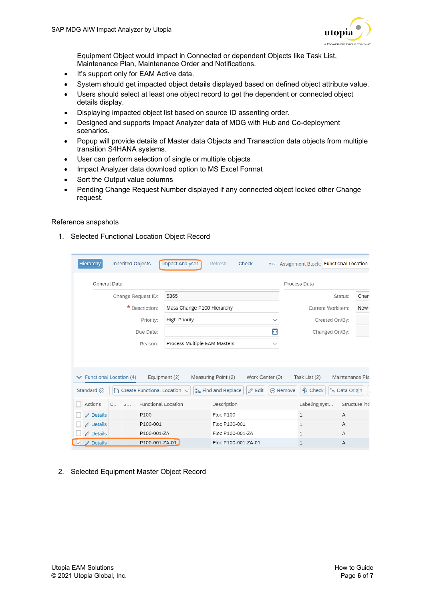

Equipment Object would impact in Connected or dependent Objects like Task List, Maintenance Plan, Maintenance Order and Notifications.

- It's support only for EAM Active data.
- System should get impacted object details displayed based on defined object attribute value.
- Users should select at least one object record to get the dependent or connected object details display.
- Displaying impacted object list based on source ID assenting order.
- Designed and supports Impact Analyzer data of MDG with Hub and Co-deployment scenarios.
- Popup will provide details of Master data Objects and Transaction data objects from multiple transition S4HANA systems.
- User can perform selection of single or multiple objects
- Impact Analyzer data download option to MS Excel Format
- Sort the Output value columns
- Pending Change Request Number displayed if any connected object locked other Change request.

#### Reference snapshots

1. Selected Functional Location Object Record

|   | Hierarchy                      |                       | <b>Inherited Objects</b> |                            | <b>Impact Analyser</b>            | Refresh             | Check               | 000             |                  | Assignment Block: Functional Location |                          |               |
|---|--------------------------------|-----------------------|--------------------------|----------------------------|-----------------------------------|---------------------|---------------------|-----------------|------------------|---------------------------------------|--------------------------|---------------|
|   |                                | General Data          |                          |                            |                                   |                     |                     |                 | Process Data     |                                       |                          |               |
|   |                                |                       |                          | Change Request ID:         | 5365                              |                     |                     |                 |                  |                                       | Status:                  | Chan          |
|   |                                |                       |                          | * Description:             | Mass Change P100 Hierarchy        |                     |                     |                 |                  |                                       | Current Workitem:        | New (         |
|   |                                |                       |                          | Priority:                  | <b>High Priority</b>              |                     |                     | $\checkmark$    |                  |                                       | Created On/By:           |               |
|   |                                |                       |                          | Due Date:                  |                                   |                     |                     | Ë               |                  |                                       | Changed On/By:           |               |
|   |                                |                       |                          | Reason:                    | Process Multiple EAM Masters      |                     |                     | $\checkmark$    |                  |                                       |                          |               |
|   |                                |                       |                          |                            |                                   |                     |                     |                 |                  |                                       |                          |               |
|   | $\vee$ Functional Location (4) |                       |                          |                            | Equipment (2)                     | Measuring Point (2) |                     | Work Center (0) |                  | Task List $(2)$                       | Maintenance Pla          |               |
|   | Standard $\odot$               |                       |                          |                            | Create Functional Location $\sim$ | k. Find and Replace | $\mathscr{D}$ Edit  |                 | $\ominus$ Remove | <sup>n</sup> Check                    | <sup>%</sup> Data Origin | $\frac{1}{2}$ |
|   | Actions                        | $C_{\cdot\cdot\cdot}$ | S                        | <b>Functional Location</b> |                                   | Description         |                     |                 |                  | Labeling syst                         |                          | Structure ind |
|   | $\mathscr{D}$ Details          |                       |                          | P100                       |                                   | <b>Floc P100</b>    |                     |                 |                  | $\mathbf{1}$                          | A                        |               |
|   | $\mathscr P$ Details           |                       |                          | P100-001                   |                                   | Floc P100-001       |                     |                 |                  | $\mathbf{1}$                          | A                        |               |
|   | $\mathscr{D}$ Details          |                       |                          | P100-001-ZA                |                                   | Floc P100-001-ZA    |                     |                 |                  | 1                                     | А                        |               |
| M | $\mathscr{D}$ Details          |                       |                          | P100-001-ZA-01             |                                   |                     | Floc P100-001-ZA-01 |                 |                  | 1                                     | А                        |               |

2. Selected Equipment Master Object Record